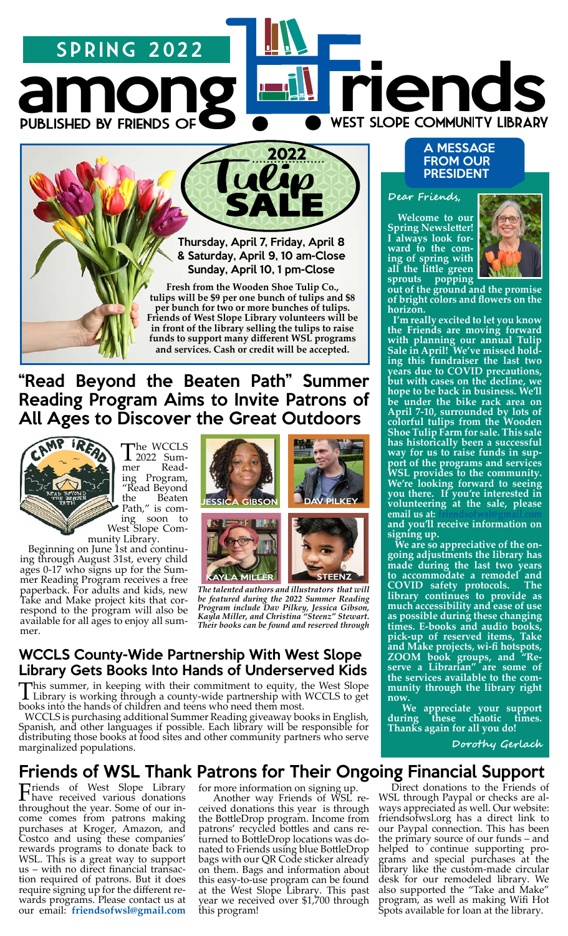# spring 2022

Thursday, April 7, Friday, April 8 & Saturday, April 9, 10 am-Close Sunday, April 10, 1 pm-Close

among riends

**Fresh from the Wooden Shoe Tulip Co., tulips will be \$9 per one bunch of tulips and \$8 per bunch for two or more bunches of tulips. Friends of West Slope Library volunteers will be in front of the library selling the tulips to raise funds to support many different WSL programs and services. Cash or credit will be accepted.** 

# "Read Beyond the Beaten Path" Summer Reading Program Aims to Invite Patrons of All Ages to Discover the Great Outdoors



The WCCLS<br>ner Reading Program, "Read Beyond the Beaten<br>Path," is com-

Path, Elipson to West Slope Com-<br>
munity Library.<br>
Beginning on June 1st and continu-<br>
ing through August 31st, every child ages 0-17 who signs up for the Sum- mer Reading Program receives a free paperback. For adults and kids, new Take and Make project kits that cor- respond to the program will also be available for all ages to enjoy all summer.





*The talented authors and illustrators that will be featured during the 2022 Summer Reading Program include Dav Pilkey, Jessica Gibson, Kayla Miller, and Christina "Steenz" Stewart. Their books can be found and reserved through* 

### WCCLS County-Wide Partnership With West Slope Library Gets Books Into Hands of Underserved Kids

This summer, in keeping with their commitment to equity, the West Slope Library is working through a county-wide partnership with WCCLS to get books into the hands of children and teens who need them most.

 WCCLS is purchasing additional Summer Reading giveaway books in English, Spanish, and other languages if possible. Each library will be responsible for distributing those books at food sites and other community partners who serve marginalized populations.

# Friends of WSL Thank Patrons for Their Ongoing Financial Support

Friends of West Slope Library have received various donations throughout the year. Some of our income comes from patrons making purchases at Kroger, Amazon, and Costco and using these companies' rewards programs to donate back to WSL. This is a great way to support us – with no direct financial transaction required of patrons. But it does require signing up for the different rewards programs. Please contact us at our email: **[friendsofwsl@gmail.com](mailto:friendsofwsl%40gmail.com%20?subject=Rewards%20Program%20Sign%20Up)** for more information on signing up.

 Another way Friends of WSL received donations this year is through the BottleDrop program. Income from patrons' recycled bottles and cans returned to BottleDrop locations was donated to Friends using blue BottleDrop bags with our QR Code sticker already on them. Bags and information about this easy-to-use program can be found at the West Slope Library. This past year we received over \$1,700 through this program!

#### A MESSAGE FROM OUR PRESIDENT

#### **Dear Friends,**

 **Welcome to our Spring Newsletter! I always look forward to the coming of spring with all the little green sprouts popping** 



**out of the ground and the promise of bright colors and flowers on the horizon.** 

 **I'm really excited to let you know the Friends are moving forward with planning our annual Tulip Sale in April! We've missed holding this fundraiser the last two years due to COVID precautions, but with cases on the decline, we hope to be back in business. We'll be under the bike rack area on April 7-10, surrounded by lots of colorful tulips from the Wooden Shoe Tulip Farm for sale. This sale has historically been a successful way for us to raise funds in support of the programs and services WSL provides to the community. We're looking forward to seeing you there. If you're interested in volunteering at the sale, please email us at:** 

**and you'll receive information on signing up.**

 **We are so appreciative of the ongoing adjustments the library has made during the last two years to accommodate a remodel and COVID safety protocols. The library continues to provide as much accessibility and ease of use as possible during these changing times. E-books and audio books, pick-up of reserved items, Take and Make projects, wi-fi hotspots, ZOOM book groups, and "Reserve a Librarian" are some of the services available to the community through the library right now.**

 **We appreciate your support during these chaotic times. Thanks again for all you do!** 

 **Dorothy Gerlach**

 Direct donations to the Friends of WSL through Paypal or checks are always appreciated as well. Our website: friendsofwsl.org has a direct link to our Paypal connection. This has been the primary source of our funds – and helped to continue supporting programs and special purchases at the library like the custom-made circular desk for our remodeled library. We also supported the "Take and Make" program, as well as making Wifi Hot Spots available for loan at the library.